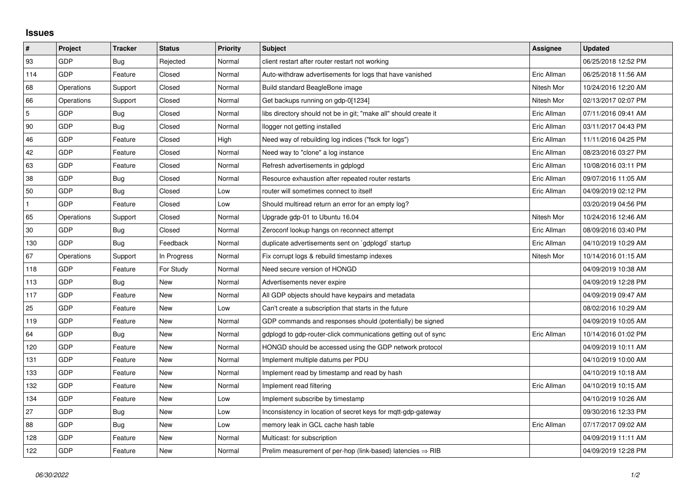## **Issues**

| $\vert$ #    | Project    | <b>Tracker</b> | <b>Status</b> | <b>Priority</b> | <b>Subject</b>                                                         | Assignee    | <b>Updated</b>      |
|--------------|------------|----------------|---------------|-----------------|------------------------------------------------------------------------|-------------|---------------------|
| 93           | GDP        | Bug            | Rejected      | Normal          | client restart after router restart not working                        |             | 06/25/2018 12:52 PM |
| 114          | GDP        | Feature        | Closed        | Normal          | Auto-withdraw advertisements for logs that have vanished               | Eric Allman | 06/25/2018 11:56 AM |
| 68           | Operations | Support        | Closed        | Normal          | Build standard BeagleBone image                                        | Nitesh Mor  | 10/24/2016 12:20 AM |
| 66           | Operations | Support        | Closed        | Normal          | Get backups running on gdp-0[1234]                                     | Nitesh Mor  | 02/13/2017 02:07 PM |
| $\sqrt{5}$   | GDP        | Bug            | Closed        | Normal          | libs directory should not be in git; "make all" should create it       | Eric Allman | 07/11/2016 09:41 AM |
| 90           | GDP        | Bug            | Closed        | Normal          | llogger not getting installed                                          | Eric Allman | 03/11/2017 04:43 PM |
| 46           | GDP        | Feature        | Closed        | High            | Need way of rebuilding log indices ("fsck for logs")                   | Eric Allman | 11/11/2016 04:25 PM |
| 42           | GDP        | Feature        | Closed        | Normal          | Need way to "clone" a log instance                                     | Eric Allman | 08/23/2016 03:27 PM |
| 63           | GDP        | Feature        | Closed        | Normal          | Refresh advertisements in gdplogd                                      | Eric Allman | 10/08/2016 03:11 PM |
| 38           | GDP        | Bug            | Closed        | Normal          | Resource exhaustion after repeated router restarts                     | Eric Allman | 09/07/2016 11:05 AM |
| 50           | GDP        | Bug            | Closed        | Low             | router will sometimes connect to itself                                | Eric Allman | 04/09/2019 02:12 PM |
| $\mathbf{1}$ | GDP        | Feature        | Closed        | Low             | Should multiread return an error for an empty log?                     |             | 03/20/2019 04:56 PM |
| 65           | Operations | Support        | Closed        | Normal          | Upgrade gdp-01 to Ubuntu 16.04                                         | Nitesh Mor  | 10/24/2016 12:46 AM |
| 30           | GDP        | <b>Bug</b>     | Closed        | Normal          | Zeroconf lookup hangs on reconnect attempt                             | Eric Allman | 08/09/2016 03:40 PM |
| 130          | GDP        | Bug            | Feedback      | Normal          | duplicate advertisements sent on `gdplogd` startup                     | Eric Allman | 04/10/2019 10:29 AM |
| 67           | Operations | Support        | In Progress   | Normal          | Fix corrupt logs & rebuild timestamp indexes                           | Nitesh Mor  | 10/14/2016 01:15 AM |
| 118          | GDP        | Feature        | For Study     | Normal          | Need secure version of HONGD                                           |             | 04/09/2019 10:38 AM |
| 113          | GDP        | Bug            | <b>New</b>    | Normal          | Advertisements never expire                                            |             | 04/09/2019 12:28 PM |
| 117          | GDP        | Feature        | <b>New</b>    | Normal          | All GDP objects should have keypairs and metadata                      |             | 04/09/2019 09:47 AM |
| 25           | GDP        | Feature        | New           | Low             | Can't create a subscription that starts in the future                  |             | 08/02/2016 10:29 AM |
| 119          | GDP        | Feature        | <b>New</b>    | Normal          | GDP commands and responses should (potentially) be signed              |             | 04/09/2019 10:05 AM |
| 64           | GDP        | Bug            | New           | Normal          | gdplogd to gdp-router-click communications getting out of sync         | Eric Allman | 10/14/2016 01:02 PM |
| 120          | GDP        | Feature        | New           | Normal          | HONGD should be accessed using the GDP network protocol                |             | 04/09/2019 10:11 AM |
| 131          | GDP        | Feature        | New           | Normal          | Implement multiple datums per PDU                                      |             | 04/10/2019 10:00 AM |
| 133          | GDP        | Feature        | New           | Normal          | Implement read by timestamp and read by hash                           |             | 04/10/2019 10:18 AM |
| 132          | GDP        | Feature        | New           | Normal          | Implement read filtering                                               | Eric Allman | 04/10/2019 10:15 AM |
| 134          | GDP        | Feature        | New           | Low             | Implement subscribe by timestamp                                       |             | 04/10/2019 10:26 AM |
| 27           | GDP        | Bug            | New           | Low             | Inconsistency in location of secret keys for mgtt-gdp-gateway          |             | 09/30/2016 12:33 PM |
| 88           | GDP        | <b>Bug</b>     | New           | Low             | memory leak in GCL cache hash table                                    | Eric Allman | 07/17/2017 09:02 AM |
| 128          | GDP        | Feature        | New           | Normal          | Multicast: for subscription                                            |             | 04/09/2019 11:11 AM |
| 122          | GDP        | Feature        | New           | Normal          | Prelim measurement of per-hop (link-based) latencies $\Rightarrow$ RIB |             | 04/09/2019 12:28 PM |